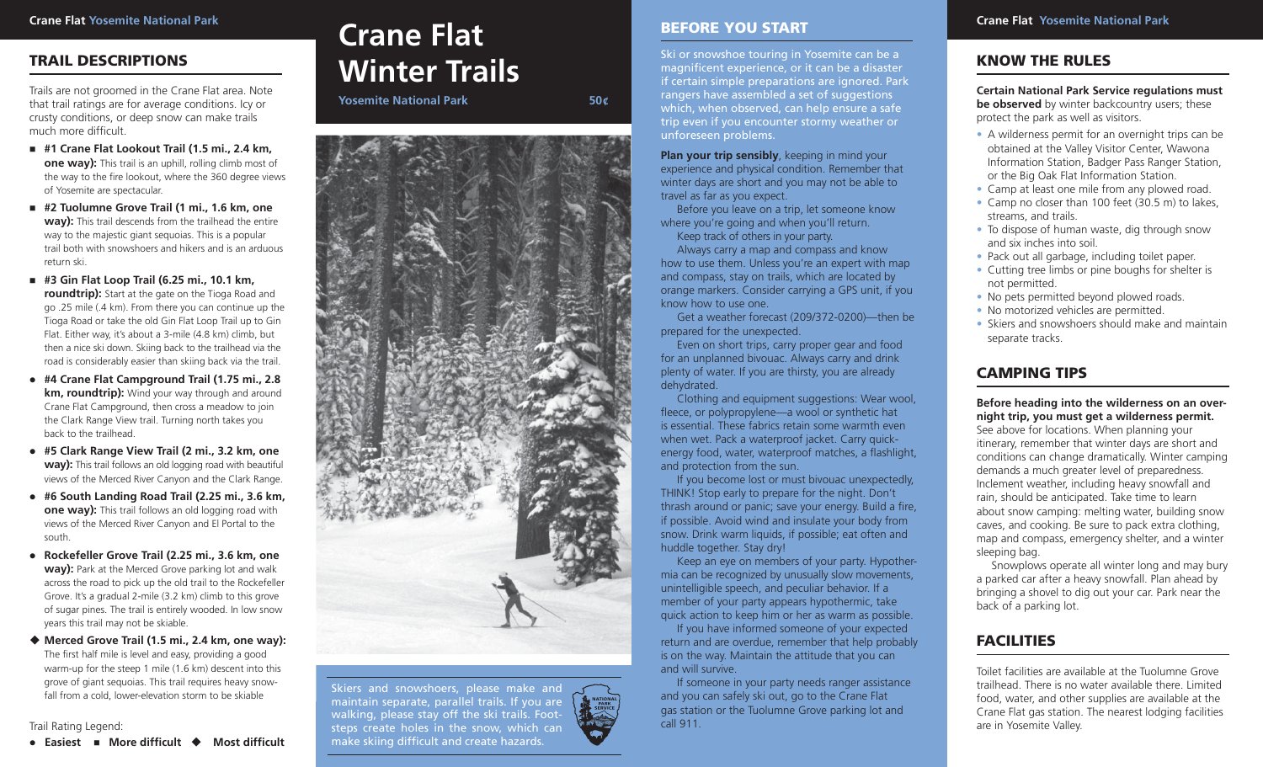## **TRAIL DESCRIPTIONS**

Trails are not groomed in the Crane Flat area. Note that trail ratings are for average conditions. Icy or crusty conditions, or deep snow can make trails much more difficult.

- **#1 Crane Flat Lookout Trail (1.5 mi., 2.4 km, one way):** This trail is an uphill, rolling climb most of the way to the fire lookout, where the 360 degree views of Yosemite are spectacular.
- **#2 Tuolumne Grove Trail (1 mi., 1.6 km, one way):** This trail descends from the trailhead the entire way to the majestic giant sequoias. This is a popular trail both with snowshoers and hikers and is an arduous return ski.
- **#3 Gin Flat Loop Trail (6.25 mi., 10.1 km, roundtrip):** Start at the gate on the Tioga Road and go .25 mile (.4 km). From there you can continue up the Tioga Road or take the old Gin Flat Loop Trail up to Gin Flat. Either way, it's about a 3-mile (4.8 km) climb, but then a nice ski down. Skiing back to the trailhead via the road is considerably easier than skiing back via the trail.
- z **#4 Crane Flat Campground Trail (1.75 mi., 2.8**  km, roundtrip): Wind your way through and around Crane Flat Campground, then cross a meadow to join the Clark Range View trail. Turning north takes you back to the trailhead.
- z **#5 Clark Range View Trail (2 mi., 3.2 km, one way):** This trail follows an old logging road with beautiful views of the Merced River Canyon and the Clark Range.
- z **#6 South Landing Road Trail (2.25 mi., 3.6 km, one way):** This trail follows an old logging road with views of the Merced River Canyon and El Portal to the south.
- z **Rockefeller Grove Trail (2.25 mi., 3.6 km, one way):** Park at the Merced Grove parking lot and walk across the road to pick up the old trail to the Rockefeller Grove. It's a gradual 2-mile (3.2 km) climb to this grove of sugar pines. The trail is entirely wooded. In low snow years this trail may not be skiable.
- ◆ Merced Grove Trail (1.5 mi., 2.4 km, one way): The first half mile is level and easy, providing a good warm-up for the steep 1 mile (1.6 km) descent into this grove of giant sequoias. This trail requires heavy snowfall from a cold, lower-elevation storm to be skiable

Trail Rating Legend:

#### ● Easiest ■ More difficult ◆ Most difficult

# **Crane Flat Winter Trails**

**Yosemite National Park 50¢** 



Skiers and snowshoers, please make and maintain separate, parallel trails. If you are walking, please stay off the ski trails. Footsteps create holes in the snow, which can make skiing difficult and create hazards.

#### **BEFORE YOU START**

Ski or snowshoe touring in Yosemite can be a magnificent experience, or it can be a disaster if certain simple preparations are ignored. Park rangers have assembled a set of suggestions which, when observed, can help ensure a safe trip even if you encounter stormy weather or unforeseen problems.

**Plan your trip sensibly**, keeping in mind your experience and physical condition. Remember that winter days are short and you may not be able to travel as far as you expect.

 Before you leave on a trip, let someone know where you're going and when you'll return.

Keep track of others in your party.

 Always carry a map and compass and know how to use them. Unless you're an expert with map and compass, stay on trails, which are located by orange markers. Consider carrying a GPS unit, if you know how to use one.

 Get a weather forecast (209/372-0200)—then be prepared for the unexpected.

 Even on short trips, carry proper gear and food for an unplanned bivouac. Always carry and drink plenty of water. If you are thirsty, you are already dehydrated.

 Clothing and equipment suggestions: Wear wool, fleece, or polypropylene—a wool or synthetic hat is essential. These fabrics retain some warmth even when wet. Pack a waterproof jacket. Carry quickenergy food, water, waterproof matches, a flashlight, and protection from the sun.

 If you become lost or must bivouac unexpectedly, THINK! Stop early to prepare for the night. Don't thrash around or panic; save your energy. Build a fire, if possible. Avoid wind and insulate your body from snow. Drink warm liquids, if possible; eat often and huddle together. Stay dry!

 Keep an eye on members of your party. Hypothermia can be recognized by unusually slow movements, unintelligible speech, and peculiar behavior. If a member of your party appears hypothermic, take quick action to keep him or her as warm as possible.

 If you have informed someone of your expected return and are overdue, remember that help probably is on the way. Maintain the attitude that you can and will survive.

If someone in your party needs ranger assistance and you can safely ski out, go to the Crane Flat gas station or the Tuolumne Grove parking lot and call 911.

#### **Crane Flat Yosemite National Park**

### **KNOW THE RULES**

**Certain National Park Service regulations must be observed** by winter backcountry users; these protect the park as well as visitors.

- A wilderness permit for an overnight trips can be obtained at the Valley Visitor Center, Wawona Information Station, Badger Pass Ranger Station, or the Big Oak Flat Information Station.
- Camp at least one mile from any plowed road.
- Camp no closer than 100 feet (30.5 m) to lakes, streams, and trails.
- To dispose of human waste, dig through snow and six inches into soil.
- Pack out all garbage, including toilet paper.
- Cutting tree limbs or pine boughs for shelter is not permitted.
- No pets permitted beyond plowed roads.
- No motorized vehicles are permitted.
- Skiers and snowshoers should make and maintain separate tracks.

## **CAMPING TIPS**

#### **Before heading into the wilderness on an overnight trip, you must get a wilderness permit.**

See above for locations. When planning your itinerary, remember that winter days are short and conditions can change dramatically. Winter camping demands a much greater level of preparedness. Inclement weather, including heavy snowfall and rain, should be anticipated. Take time to learn about snow camping: melting water, building snow caves, and cooking. Be sure to pack extra clothing, map and compass, emergency shelter, and a winter sleeping bag.

 Snowplows operate all winter long and may bury a parked car after a heavy snowfall. Plan ahead by bringing a shovel to dig out your car. Park near the back of a parking lot.

## **FACILITIES**

Toilet facilities are available at the Tuolumne Grove trailhead. There is no water available there. Limited food, water, and other supplies are available at the Crane Flat gas station. The nearest lodging facilities are in Yosemite Valley.